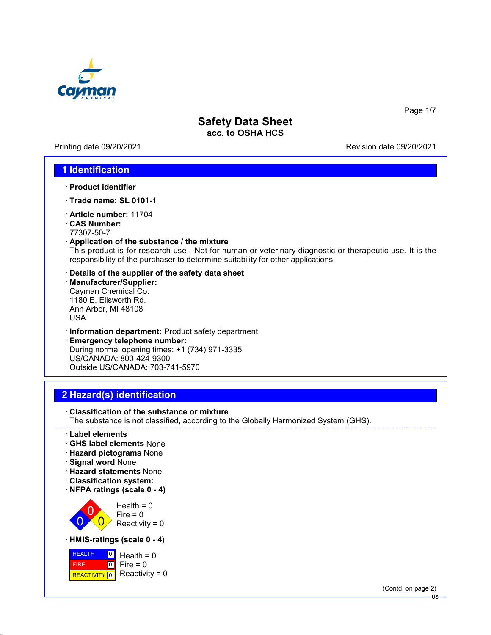

Printing date 09/20/2021 Revision date 09/20/2021

Page 1/7

#### **1 Identification**

- · **Product identifier**
- · **Trade name: SL 0101-1**
- · **Article number:** 11704
- · **CAS Number:**
- 77307-50-7
- · **Application of the substance / the mixture**

This product is for research use - Not for human or veterinary diagnostic or therapeutic use. It is the responsibility of the purchaser to determine suitability for other applications.

- · **Details of the supplier of the safety data sheet**
- · **Manufacturer/Supplier:** Cayman Chemical Co. 1180 E. Ellsworth Rd. Ann Arbor, MI 48108 USA
- · **Information department:** Product safety department
- · **Emergency telephone number:** During normal opening times: +1 (734) 971-3335 US/CANADA: 800-424-9300 Outside US/CANADA: 703-741-5970

## **2 Hazard(s) identification**

· **Classification of the substance or mixture** The substance is not classified, according to the Globally Harmonized System (GHS).

- · **Label elements**
- · **GHS label elements** None
- · **Hazard pictograms** None
- · **Signal word** None
- · **Hazard statements** None
- · **Classification system:**
- · **NFPA ratings (scale 0 4)**



· **HMIS-ratings (scale 0 - 4)**



(Contd. on page 2)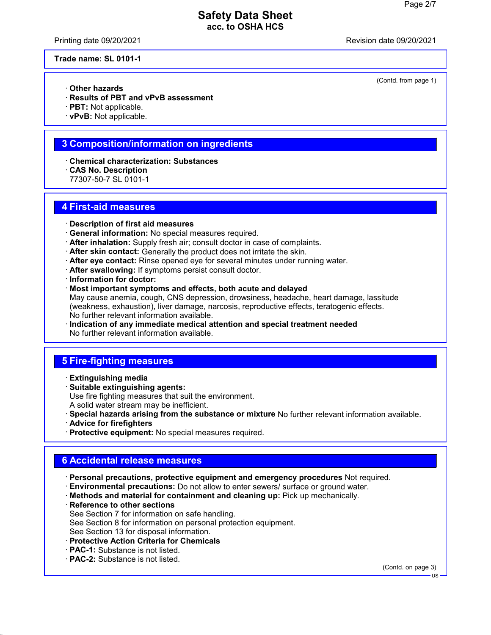Printing date 09/20/2021 Revision date 09/20/2021

(Contd. from page 1)

**Trade name: SL 0101-1**

- · **Other hazards**
- · **Results of PBT and vPvB assessment**
- · **PBT:** Not applicable.
- · **vPvB:** Not applicable.

#### **3 Composition/information on ingredients**

- · **Chemical characterization: Substances**
- · **CAS No. Description**
- 77307-50-7 SL 0101-1

#### **4 First-aid measures**

- · **Description of first aid measures**
- · **General information:** No special measures required.
- · **After inhalation:** Supply fresh air; consult doctor in case of complaints.
- · **After skin contact:** Generally the product does not irritate the skin.
- · **After eye contact:** Rinse opened eye for several minutes under running water.
- · **After swallowing:** If symptoms persist consult doctor.
- · **Information for doctor:**
- · **Most important symptoms and effects, both acute and delayed** May cause anemia, cough, CNS depression, drowsiness, headache, heart damage, lassitude (weakness, exhaustion), liver damage, narcosis, reproductive effects, teratogenic effects. No further relevant information available.
- · **Indication of any immediate medical attention and special treatment needed** No further relevant information available.

## **5 Fire-fighting measures**

- · **Extinguishing media**
- · **Suitable extinguishing agents:** Use fire fighting measures that suit the environment. A solid water stream may be inefficient.
- · **Special hazards arising from the substance or mixture** No further relevant information available. · **Advice for firefighters**
- 
- · **Protective equipment:** No special measures required.

## **6 Accidental release measures**

- · **Personal precautions, protective equipment and emergency procedures** Not required.
- · **Environmental precautions:** Do not allow to enter sewers/ surface or ground water.
- · **Methods and material for containment and cleaning up:** Pick up mechanically.
- · **Reference to other sections** See Section 7 for information on safe handling. See Section 8 for information on personal protection equipment. See Section 13 for disposal information.
- · **Protective Action Criteria for Chemicals**
- · **PAC-1:** Substance is not listed.
- · **PAC-2:** Substance is not listed.

(Contd. on page 3)

US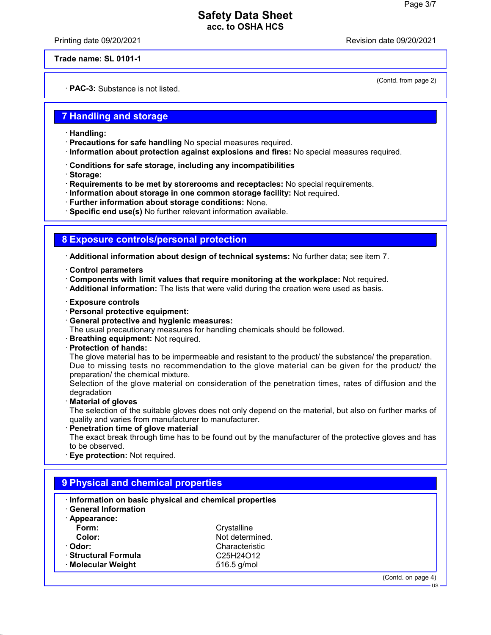Printing date 09/20/2021 Revision date 09/20/2021

(Contd. from page 2)

**Trade name: SL 0101-1**

· **PAC-3:** Substance is not listed.

#### **7 Handling and storage**

- · **Handling:**
- · **Precautions for safe handling** No special measures required.
- · **Information about protection against explosions and fires:** No special measures required.
- · **Conditions for safe storage, including any incompatibilities**
- · **Storage:**
- · **Requirements to be met by storerooms and receptacles:** No special requirements.
- · **Information about storage in one common storage facility:** Not required.
- · **Further information about storage conditions:** None.
- · **Specific end use(s)** No further relevant information available.

#### **8 Exposure controls/personal protection**

· **Additional information about design of technical systems:** No further data; see item 7.

- · **Control parameters**
- · **Components with limit values that require monitoring at the workplace:** Not required.
- · **Additional information:** The lists that were valid during the creation were used as basis.
- · **Exposure controls**
- · **Personal protective equipment:**
- · **General protective and hygienic measures:**
- The usual precautionary measures for handling chemicals should be followed.
- · **Breathing equipment:** Not required.
- · **Protection of hands:**

The glove material has to be impermeable and resistant to the product/ the substance/ the preparation. Due to missing tests no recommendation to the glove material can be given for the product/ the preparation/ the chemical mixture.

Selection of the glove material on consideration of the penetration times, rates of diffusion and the degradation

· **Material of gloves**

The selection of the suitable gloves does not only depend on the material, but also on further marks of quality and varies from manufacturer to manufacturer.

· **Penetration time of glove material**

The exact break through time has to be found out by the manufacturer of the protective gloves and has to be observed.

· **Eye protection:** Not required.

| Information on basic physical and chemical properties<br><b>General Information</b> |                                                 |  |
|-------------------------------------------------------------------------------------|-------------------------------------------------|--|
| · Appearance:                                                                       |                                                 |  |
| Form:                                                                               | Crystalline                                     |  |
| Color:                                                                              | Not determined.                                 |  |
| · Odor:                                                                             | Characteristic                                  |  |
| · Structural Formula                                                                | C <sub>25</sub> H <sub>24</sub> O <sub>12</sub> |  |
| · Molecular Weight                                                                  | 516.5 g/mol                                     |  |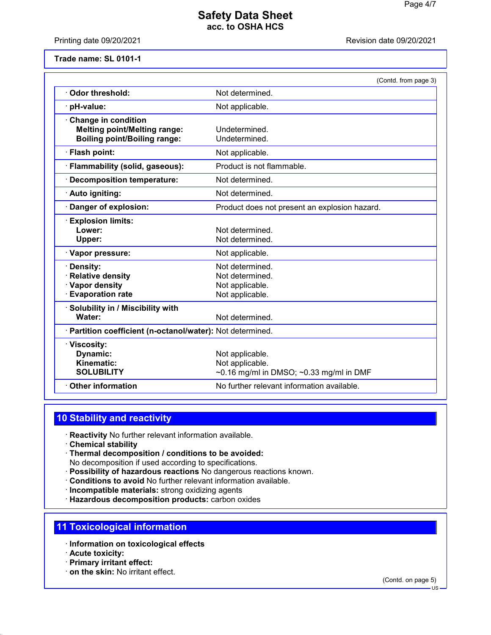Printing date 09/20/2021 **Printing date 09/20/2021** 

#### **Trade name: SL 0101-1**

|                                                                                                          | (Contd. from page 3)                                                                      |
|----------------------------------------------------------------------------------------------------------|-------------------------------------------------------------------------------------------|
| Odor threshold:                                                                                          | Not determined.                                                                           |
| pH-value:                                                                                                | Not applicable.                                                                           |
| <b>Change in condition</b><br><b>Melting point/Melting range:</b><br><b>Boiling point/Boiling range:</b> | Undetermined.<br>Undetermined.                                                            |
| · Flash point:                                                                                           | Not applicable.                                                                           |
| · Flammability (solid, gaseous):                                                                         | Product is not flammable.                                                                 |
| <b>Decomposition temperature:</b>                                                                        | Not determined.                                                                           |
| · Auto igniting:                                                                                         | Not determined.                                                                           |
| Danger of explosion:                                                                                     | Product does not present an explosion hazard.                                             |
| <b>Explosion limits:</b><br>Lower:<br>Upper:                                                             | Not determined.<br>Not determined.                                                        |
| · Vapor pressure:                                                                                        | Not applicable.                                                                           |
| <b>Density:</b><br><b>Relative density</b><br>· Vapor density<br><b>Evaporation rate</b>                 | Not determined.<br>Not determined.<br>Not applicable.<br>Not applicable.                  |
| Solubility in / Miscibility with<br>Water:                                                               | Not determined.                                                                           |
| · Partition coefficient (n-octanol/water): Not determined.                                               |                                                                                           |
| · Viscosity:<br>Dynamic:<br>Kinematic:<br><b>SOLUBILITY</b>                                              | Not applicable.<br>Not applicable.<br>$\sim$ 0.16 mg/ml in DMSO; $\sim$ 0.33 mg/ml in DMF |
| <b>Other information</b>                                                                                 | No further relevant information available.                                                |

### **10 Stability and reactivity**

- · **Reactivity** No further relevant information available.
- · **Chemical stability**
- · **Thermal decomposition / conditions to be avoided:** No decomposition if used according to specifications.
- · **Possibility of hazardous reactions** No dangerous reactions known.
- · **Conditions to avoid** No further relevant information available.
- · **Incompatible materials:** strong oxidizing agents
- · **Hazardous decomposition products:** carbon oxides

#### **11 Toxicological information**

- · **Information on toxicological effects**
- · **Acute toxicity:**
- · **Primary irritant effect:**
- · **on the skin:** No irritant effect.

(Contd. on page 5)

 $\overline{HS}$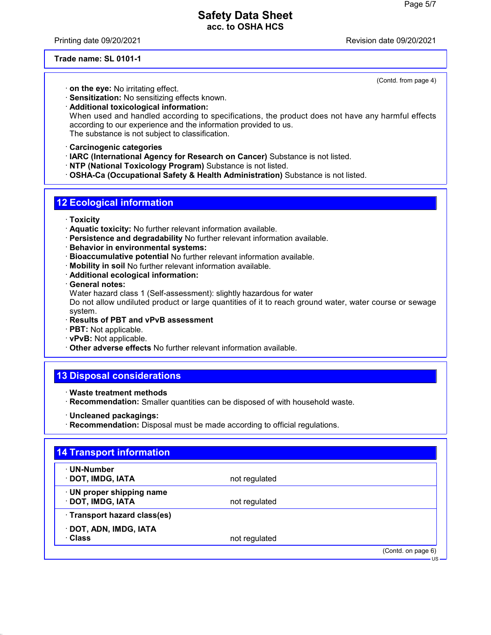Printing date 09/20/2021 Revision date 09/20/2021

(Contd. from page 4)

#### **Trade name: SL 0101-1**

- · **on the eye:** No irritating effect.
- · **Sensitization:** No sensitizing effects known.
- · **Additional toxicological information:** When used and handled according to specifications, the product does not have any harmful effects according to our experience and the information provided to us. The substance is not subject to classification.
- · **Carcinogenic categories**
- · **IARC (International Agency for Research on Cancer)** Substance is not listed.
- · **NTP (National Toxicology Program)** Substance is not listed.
- · **OSHA-Ca (Occupational Safety & Health Administration)** Substance is not listed.

### **12 Ecological information**

- · **Toxicity**
- · **Aquatic toxicity:** No further relevant information available.
- · **Persistence and degradability** No further relevant information available.
- · **Behavior in environmental systems:**
- · **Bioaccumulative potential** No further relevant information available.
- · **Mobility in soil** No further relevant information available.
- · **Additional ecological information:**
- · **General notes:**
- Water hazard class 1 (Self-assessment): slightly hazardous for water

Do not allow undiluted product or large quantities of it to reach ground water, water course or sewage system.

- · **Results of PBT and vPvB assessment**
- · **PBT:** Not applicable.
- · **vPvB:** Not applicable.
- · **Other adverse effects** No further relevant information available.

## **13 Disposal considerations**

- · **Waste treatment methods**
- · **Recommendation:** Smaller quantities can be disposed of with household waste.
- · **Uncleaned packagings:**
- · **Recommendation:** Disposal must be made according to official regulations.

| ⋅ UN-Number                  |               |  |
|------------------------------|---------------|--|
| · DOT, IMDG, IATA            | not regulated |  |
| · UN proper shipping name    |               |  |
| · DOT, IMDG, IATA            | not regulated |  |
| · Transport hazard class(es) |               |  |
| · DOT, ADN, IMDG, IATA       |               |  |
| · Class                      | not regulated |  |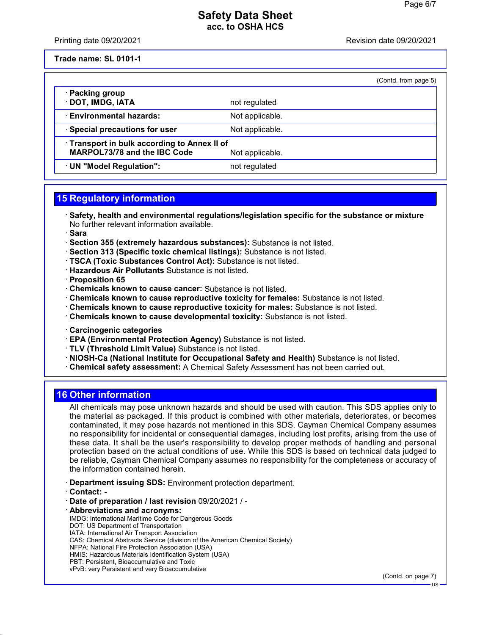Printing date 09/20/2021 **Printing date 09/20/2021** 

**Trade name: SL 0101-1**

| (Contd. from page 5) |  |  |
|----------------------|--|--|

| Packing group                                                                     |                 |  |
|-----------------------------------------------------------------------------------|-----------------|--|
| · DOT, IMDG, IATA                                                                 | not regulated   |  |
| <b>Environmental hazards:</b>                                                     | Not applicable. |  |
| Special precautions for user                                                      | Not applicable. |  |
| Transport in bulk according to Annex II of<br><b>MARPOL73/78 and the IBC Code</b> | Not applicable. |  |
| · UN "Model Regulation":                                                          | not regulated   |  |

## **15 Regulatory information**

· **Safety, health and environmental regulations/legislation specific for the substance or mixture** No further relevant information available.

· **Sara**

- · **Section 355 (extremely hazardous substances):** Substance is not listed.
- · **Section 313 (Specific toxic chemical listings):** Substance is not listed.
- · **TSCA (Toxic Substances Control Act):** Substance is not listed.
- · **Hazardous Air Pollutants** Substance is not listed.

· **Proposition 65**

- · **Chemicals known to cause cancer:** Substance is not listed.
- · **Chemicals known to cause reproductive toxicity for females:** Substance is not listed.
- · **Chemicals known to cause reproductive toxicity for males:** Substance is not listed.
- · **Chemicals known to cause developmental toxicity:** Substance is not listed.
- · **Carcinogenic categories**
- · **EPA (Environmental Protection Agency)** Substance is not listed.
- · **TLV (Threshold Limit Value)** Substance is not listed.
- · **NIOSH-Ca (National Institute for Occupational Safety and Health)** Substance is not listed.
- · **Chemical safety assessment:** A Chemical Safety Assessment has not been carried out.

#### **16 Other information**

All chemicals may pose unknown hazards and should be used with caution. This SDS applies only to the material as packaged. If this product is combined with other materials, deteriorates, or becomes contaminated, it may pose hazards not mentioned in this SDS. Cayman Chemical Company assumes no responsibility for incidental or consequential damages, including lost profits, arising from the use of these data. It shall be the user's responsibility to develop proper methods of handling and personal protection based on the actual conditions of use. While this SDS is based on technical data judged to be reliable, Cayman Chemical Company assumes no responsibility for the completeness or accuracy of the information contained herein.

- · **Department issuing SDS:** Environment protection department.
- · **Contact:** -
- · **Date of preparation / last revision** 09/20/2021 / -
- · **Abbreviations and acronyms:**
- IMDG: International Maritime Code for Dangerous Goods
- DOT: US Department of Transportation
- IATA: International Air Transport Association CAS: Chemical Abstracts Service (division of the American Chemical Society)
- NFPA: National Fire Protection Association (USA)
- HMIS: Hazardous Materials Identification System (USA)
- PBT: Persistent, Bioaccumulative and Toxic
- vPvB: very Persistent and very Bioaccumulative

(Contd. on page 7)

US